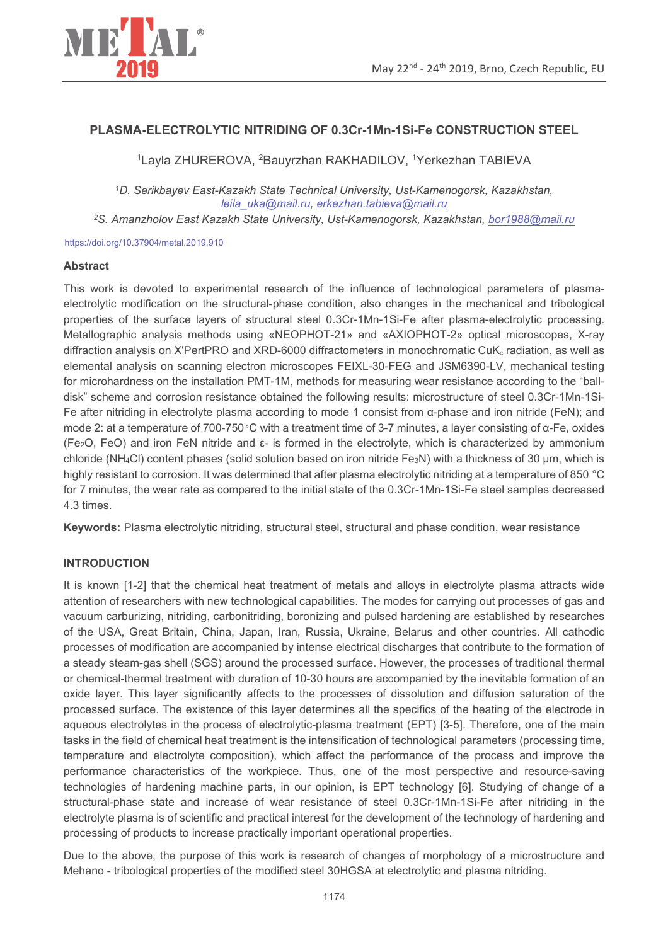

### PLASMA-ELECTROLYTIC NITRIDING OF 0.3Cr-1Mn-1Si-Fe CONSTRUCTION STEEL

<sup>1</sup>Layla ZHUREROVA, <sup>2</sup>Bauyrzhan RAKHADILOV, <sup>1</sup>Yerkezhan TABIEVA

<sup>1</sup>D. Serikbayev East-Kazakh State Technical University, Ust-Kamenogorsk, Kazakhstan, leila uka@mail.ru, erkezhan.tabieva@mail.ru

<sup>2</sup>S. Amanzholov East Kazakh State University, Ust-Kamenogorsk, Kazakhstan, bor1988@mail.ru

https://doi.org/10.37904/metal.2019.910

#### **Abstract**

This work is devoted to experimental research of the influence of technological parameters of plasmaelectrolytic modification on the structural-phase condition, also changes in the mechanical and tribological properties of the surface layers of structural steel 0.3Cr-1Mn-1Si-Fe after plasma-electrolytic processing. Metallographic analysis methods using «NEOPHOT-21» and «AXIOPHOT-2» optical microscopes, X-ray diffraction analysis on X'PertPRO and XRD-6000 diffractometers in monochromatic CuK<sub>«</sub> radiation, as well as elemental analysis on scanning electron microscopes FEIXL-30-FEG and JSM6390-LV, mechanical testing for microhardness on the installation PMT-1M, methods for measuring wear resistance according to the "balldisk" scheme and corrosion resistance obtained the following results: microstructure of steel 0.3Cr-1Mn-1Si-Fe after nitriding in electrolyte plasma according to mode 1 consist from  $\alpha$ -phase and iron nitride (FeN); and mode 2: at a temperature of 700-750 °C with a treatment time of 3-7 minutes, a layer consisting of  $\alpha$ -Fe, oxides (Fe<sub>2</sub>O, FeO) and iron FeN nitride and  $\varepsilon$ - is formed in the electrolyte, which is characterized by ammonium chloride (NH<sub>4</sub>Cl) content phases (solid solution based on iron nitride Fe<sub>3</sub>N) with a thickness of 30 µm, which is highly resistant to corrosion. It was determined that after plasma electrolytic nitriding at a temperature of 850 °C for 7 minutes, the wear rate as compared to the initial state of the 0.3Cr-1Mn-1Si-Fe steel samples decreased 4.3 times

Keywords: Plasma electrolytic nitriding, structural steel, structural and phase condition, wear resistance

### **INTRODUCTION**

It is known [1-2] that the chemical heat treatment of metals and alloys in electrolyte plasma attracts wide attention of researchers with new technological capabilities. The modes for carrying out processes of gas and vacuum carburizing, nitriding, carbonitriding, boronizing and pulsed hardening are established by researches of the USA, Great Britain, China, Japan, Iran, Russia, Ukraine, Belarus and other countries. All cathodic processes of modification are accompanied by intense electrical discharges that contribute to the formation of a steady steam-gas shell (SGS) around the processed surface. However, the processes of traditional thermal or chemical-thermal treatment with duration of 10-30 hours are accompanied by the inevitable formation of an oxide layer. This layer significantly affects to the processes of dissolution and diffusion saturation of the processed surface. The existence of this layer determines all the specifics of the heating of the electrode in aqueous electrolytes in the process of electrolytic-plasma treatment (EPT) [3-5]. Therefore, one of the main tasks in the field of chemical heat treatment is the intensification of technological parameters (processing time, temperature and electrolyte composition), which affect the performance of the process and improve the performance characteristics of the workpiece. Thus, one of the most perspective and resource-saving technologies of hardening machine parts, in our opinion, is EPT technology [6]. Studying of change of a structural-phase state and increase of wear resistance of steel 0.3Cr-1Mn-1Si-Fe after nitriding in the electrolyte plasma is of scientific and practical interest for the development of the technology of hardening and processing of products to increase practically important operational properties.

Due to the above, the purpose of this work is research of changes of morphology of a microstructure and Mehano - tribological properties of the modified steel 30HGSA at electrolytic and plasma nitriding.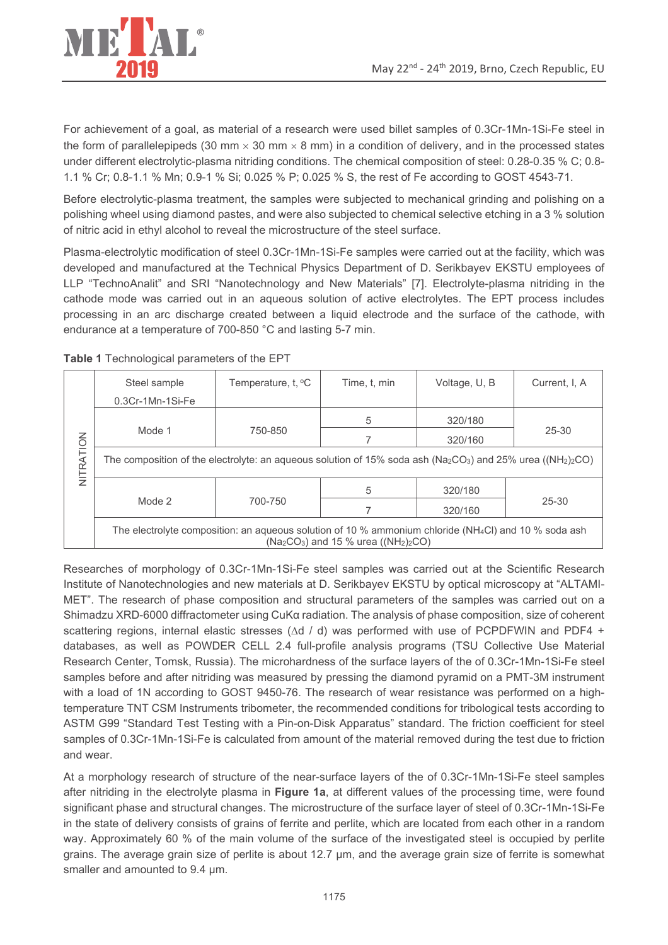

For achievement of a goal, as material of a research were used billet samples of 0.3Cr-1Mn-1Si-Fe steel in the form of parallelepipeds (30 mm  $\times$  30 mm  $\times$  8 mm) in a condition of delivery, and in the processed states under different electrolytic-plasma nitriding conditions. The chemical composition of steel: 0.28-0.35 % C; 0.8-1.1 % Cr; 0.8-1.1 % Mn; 0.9-1 % Si; 0.025 % P; 0.025 % S, the rest of Fe according to GOST 4543-71.

Before electrolytic-plasma treatment, the samples were subjected to mechanical grinding and polishing on a polishing wheel using diamond pastes, and were also subjected to chemical selective etching in a 3 % solution of nitric acid in ethyl alcohol to reveal the microstructure of the steel surface.

Plasma-electrolytic modification of steel 0.3Cr-1Mn-1Si-Fe samples were carried out at the facility, which was developed and manufactured at the Technical Physics Department of D. Serikbayev EKSTU employees of LLP "TechnoAnalit" and SRI "Nanotechnology and New Materials" [7]. Electrolyte-plasma nitriding in the cathode mode was carried out in an aqueous solution of active electrolytes. The EPT process includes processing in an arc discharge created between a liquid electrode and the surface of the cathode, with endurance at a temperature of 700-850 °C and lasting 5-7 min.

|           | Steel sample                                                                                                                                               | Temperature, $t, \, ^\circ C$ | Time, t, min | Voltage, U, B | Current, I, A |  |  |  |  |  |
|-----------|------------------------------------------------------------------------------------------------------------------------------------------------------------|-------------------------------|--------------|---------------|---------------|--|--|--|--|--|
| NITRATION | $0.3Cr-1Mn-1Si-Fe$                                                                                                                                         |                               |              |               |               |  |  |  |  |  |
|           |                                                                                                                                                            |                               |              |               |               |  |  |  |  |  |
|           | Mode 1                                                                                                                                                     | 750-850                       |              | 320/160       | $25 - 30$     |  |  |  |  |  |
|           | The composition of the electrolyte: an aqueous solution of 15% soda ash ( $\text{Na}_2\text{CO}_3$ ) and 25% urea (( $\text{NH}_2$ ) $_2$ CO)              |                               |              |               |               |  |  |  |  |  |
|           |                                                                                                                                                            |                               | 5            | 320/180       |               |  |  |  |  |  |
|           | Mode 2                                                                                                                                                     | 700-750                       |              | 320/160       | $25 - 30$     |  |  |  |  |  |
|           | The electrolyte composition: an aqueous solution of 10 % ammonium chloride (NH <sub>4</sub> Cl) and 10 % soda ash<br>$(Na2CO3)$ and 15 % urea $((NH2)2CO)$ |                               |              |               |               |  |  |  |  |  |

Table 1 Technological parameters of the EPT

Researches of morphology of 0.3Cr-1Mn-1Si-Fe steel samples was carried out at the Scientific Research Institute of Nanotechnologies and new materials at D. Serikbayev EKSTU by optical microscopy at "ALTAMI-MET". The research of phase composition and structural parameters of the samples was carried out on a Shimadzu XRD-6000 diffractometer using CuKa radiation. The analysis of phase composition, size of coherent scattering regions, internal elastic stresses ( $\Delta d$  / d) was performed with use of PCPDFWIN and PDF4 + databases, as well as POWDER CELL 2.4 full-profile analysis programs (TSU Collective Use Material Research Center, Tomsk, Russia). The microhardness of the surface layers of the of 0.3Cr-1Mn-1Si-Fe steel samples before and after nitriding was measured by pressing the diamond pyramid on a PMT-3M instrument with a load of 1N according to GOST 9450-76. The research of wear resistance was performed on a hightemperature TNT CSM Instruments tribometer, the recommended conditions for tribological tests according to ASTM G99 "Standard Test Testing with a Pin-on-Disk Apparatus" standard. The friction coefficient for steel samples of 0.3Cr-1Mn-1Si-Fe is calculated from amount of the material removed during the test due to friction and wear.

At a morphology research of structure of the near-surface layers of the of 0.3Cr-1Mn-1Si-Fe steel samples after nitriding in the electrolyte plasma in Figure 1a, at different values of the processing time, were found significant phase and structural changes. The microstructure of the surface layer of steel of 0.3Cr-1Mn-1Si-Fe in the state of delivery consists of grains of ferrite and perlite, which are located from each other in a random way. Approximately 60 % of the main volume of the surface of the investigated steel is occupied by perlite grains. The average grain size of perlite is about 12.7 µm, and the average grain size of ferrite is somewhat smaller and amounted to 9.4 um.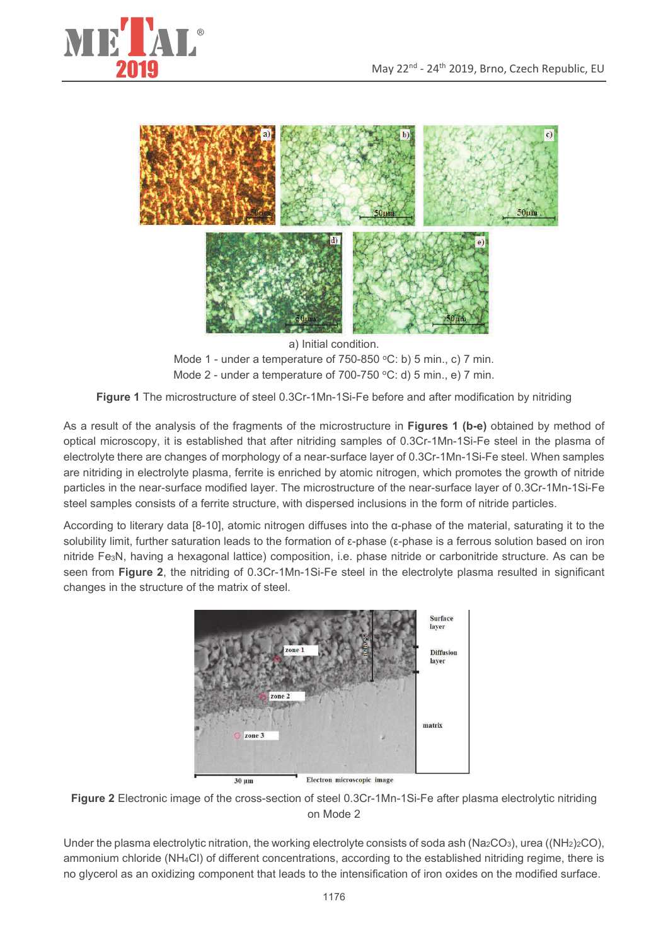



a) Initial condition. Mode 1 - under a temperature of 750-850 °C: b) 5 min., c) 7 min. Mode 2 - under a temperature of 700-750 °C: d) 5 min., e) 7 min.

Figure 1 The microstructure of steel 0.3Cr-1Mn-1Si-Fe before and after modification by nitriding

As a result of the analysis of the fragments of the microstructure in Figures 1 (b-e) obtained by method of optical microscopy, it is established that after nitriding samples of 0.3Cr-1Mn-1Si-Fe steel in the plasma of electrolyte there are changes of morphology of a near-surface layer of 0.3Cr-1Mn-1Si-Fe steel. When samples are nitriding in electrolyte plasma, ferrite is enriched by atomic nitrogen, which promotes the growth of nitride particles in the near-surface modified layer. The microstructure of the near-surface layer of 0.3Cr-1Mn-1Si-Fe steel samples consists of a ferrite structure, with dispersed inclusions in the form of nitride particles.

According to literary data [8-10], atomic nitrogen diffuses into the  $\alpha$ -phase of the material, saturating it to the solubility limit, further saturation leads to the formation of  $\varepsilon$ -phase ( $\varepsilon$ -phase is a ferrous solution based on iron nitride Fe<sub>3</sub>N, having a hexagonal lattice) composition, i.e. phase nitride or carbonitride structure. As can be seen from Figure 2, the nitriding of 0.3Cr-1Mn-1Si-Fe steel in the electrolyte plasma resulted in significant changes in the structure of the matrix of steel.



Figure 2 Electronic image of the cross-section of steel 0.3Cr-1Mn-1Si-Fe after plasma electrolytic nitriding on Mode 2

Under the plasma electrolytic nitration, the working electrolyte consists of soda ash ( $Na_2CO_3$ ), urea (( $NH_2$ ) $_2CO$ ), ammonium chloride (NH<sub>4</sub>Cl) of different concentrations, according to the established nitriding regime, there is no glycerol as an oxidizing component that leads to the intensification of iron oxides on the modified surface.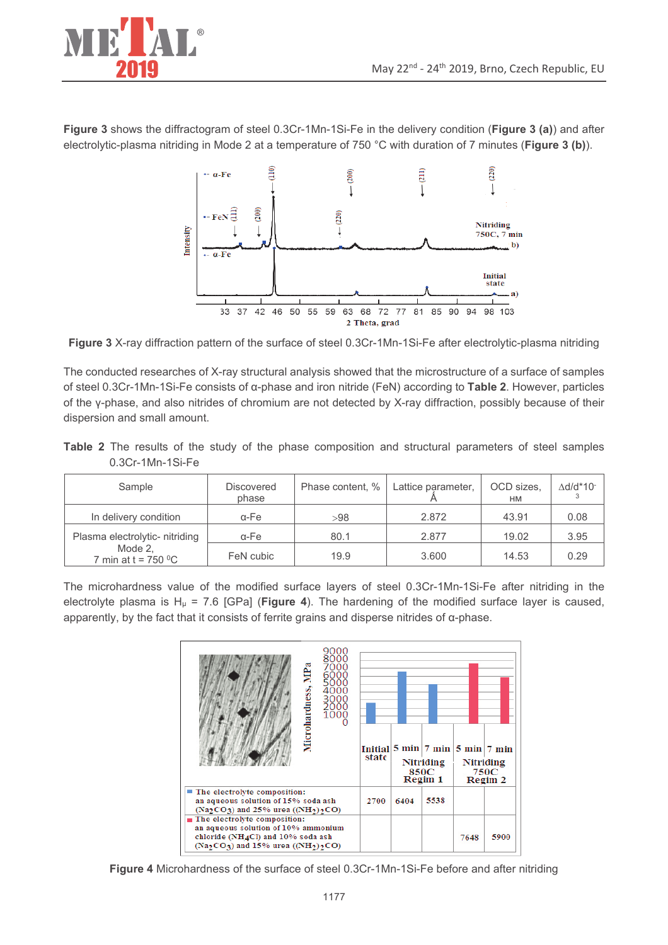

Figure 3 shows the diffractogram of steel 0.3Cr-1Mn-1Si-Fe in the delivery condition (Figure 3 (a)) and after electrolytic-plasma nitriding in Mode 2 at a temperature of 750 °C with duration of 7 minutes (Figure 3 (b)).



Figure 3 X-ray diffraction pattern of the surface of steel 0.3Cr-1Mn-1Si-Fe after electrolytic-plasma nitriding

The conducted researches of X-ray structural analysis showed that the microstructure of a surface of samples of steel 0.3Cr-1Mn-1Si-Fe consists of  $\alpha$ -phase and iron nitride (FeN) according to Table 2. However, particles of the y-phase, and also nitrides of chromium are not detected by X-ray diffraction, possibly because of their dispersion and small amount.

|  |                  |  |  |  | Table 2 The results of the study of the phase composition and structural parameters of steel samples |  |  |  |
|--|------------------|--|--|--|------------------------------------------------------------------------------------------------------|--|--|--|
|  | 0.3Cr-1Mn-1Si-Fe |  |  |  |                                                                                                      |  |  |  |

| Sample                           | <b>Discovered</b><br>phase | Phase content, % | Lattice parameter, | OCD sizes.<br>HM | ∆d/d*10 <sup>-</sup> |
|----------------------------------|----------------------------|------------------|--------------------|------------------|----------------------|
| In delivery condition            | $\alpha$ -Fe               | >98              | 2.872              | 43.91            | 0.08                 |
| Plasma electrolytic- nitriding   | α-Fe                       | 80.1             | 2.877              | 19.02            | 3.95                 |
| Mode 2.<br>7 min at t = $750 °C$ | FeN cubic                  | 19.9             | 3.600              | 14.53            | 0.29                 |

The microhardness value of the modified surface layers of steel 0.3Cr-1Mn-1Si-Fe after nitriding in the electrolyte plasma is  $H<sub>\mu</sub> = 7.6$  [GPa] (Figure 4). The hardening of the modified surface layer is caused, apparently, by the fact that it consists of ferrite grains and disperse nitrides of  $\alpha$ -phase.



Figure 4 Microhardness of the surface of steel 0.3Cr-1Mn-1Si-Fe before and after nitriding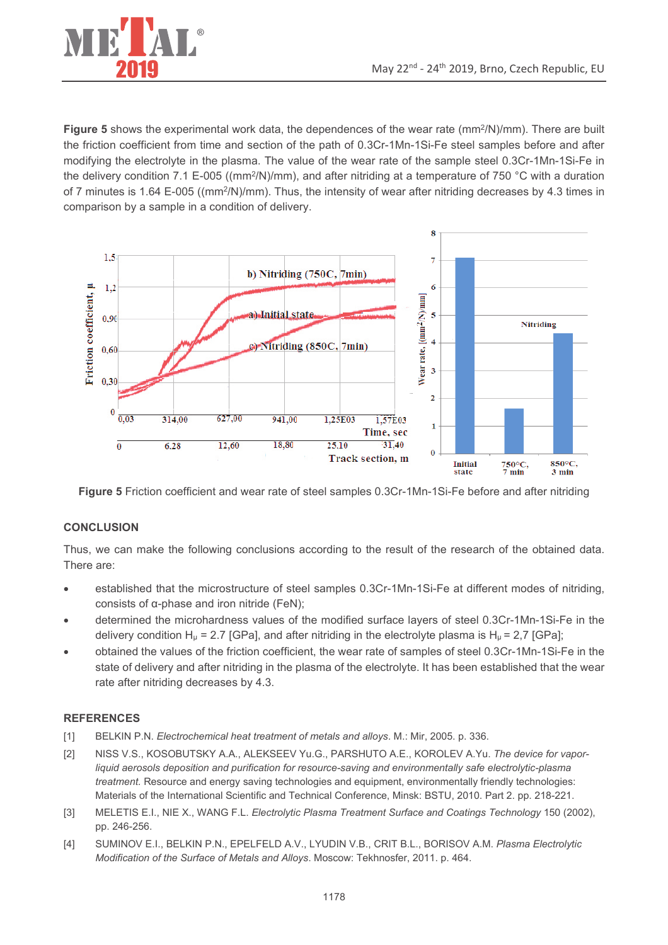

Figure 5 shows the experimental work data, the dependences of the wear rate (mm<sup>2</sup>/N)/mm). There are built the friction coefficient from time and section of the path of 0.3Cr-1Mn-1Si-Fe steel samples before and after modifying the electrolyte in the plasma. The value of the wear rate of the sample steel 0.3Cr-1Mn-1Si-Fe in the delivery condition 7.1 E-005 ((mm<sup>2</sup>/N)/mm), and after nitriding at a temperature of 750 °C with a duration of 7 minutes is 1.64 E-005 ((mm<sup>2</sup>/N)/mm). Thus, the intensity of wear after nitriding decreases by 4.3 times in comparison by a sample in a condition of delivery.



Figure 5 Friction coefficient and wear rate of steel samples 0.3Cr-1Mn-1Si-Fe before and after nitriding

# **CONCLUSION**

Thus, we can make the following conclusions according to the result of the research of the obtained data. There are:

- established that the microstructure of steel samples 0.3Cr-1Mn-1Si-Fe at different modes of nitriding, consists of  $\alpha$ -phase and iron nitride (FeN);
- determined the microhardness values of the modified surface layers of steel 0.3Cr-1Mn-1Si-Fe in the delivery condition H<sub>u</sub> = 2.7 [GPa], and after nitriding in the electrolyte plasma is H<sub>u</sub> = 2.7 [GPa];
- obtained the values of the friction coefficient, the wear rate of samples of steel 0.3Cr-1Mn-1Si-Fe in the state of delivery and after nitriding in the plasma of the electrolyte. It has been established that the wear rate after nitriding decreases by 4.3.

# **REFERENCES**

- $[1]$ BELKIN P.N. Electrochemical heat treatment of metals and alloys. M.: Mir, 2005. p. 336.
- NISS V.S., KOSOBUTSKY A.A., ALEKSEEV Yu.G., PARSHUTO A.E., KOROLEV A.Yu. The device for vapor- $[2]$ liquid aerosols deposition and purification for resource-saving and environmentally safe electrolytic-plasma treatment. Resource and energy saving technologies and equipment, environmentally friendly technologies: Materials of the International Scientific and Technical Conference, Minsk: BSTU, 2010. Part 2. pp. 218-221.
- MELETIS E.I., NIE X., WANG F.L. Electrolytic Plasma Treatment Surface and Coatings Technology 150 (2002),  $[3]$ pp. 246-256.
- $[4]$ SUMINOV E.I., BELKIN P.N., EPELFELD A.V., LYUDIN V.B., CRIT B.L., BORISOV A.M. Plasma Electrolytic Modification of the Surface of Metals and Alloys. Moscow: Tekhnosfer, 2011. p. 464.